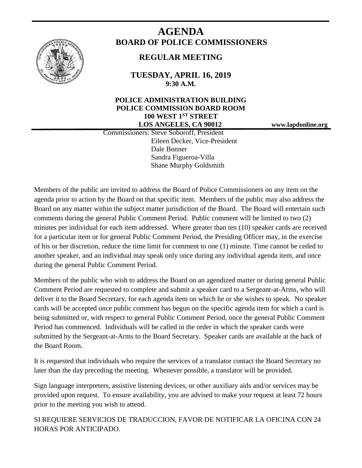

# **AGENDA BOARD OF POLICE COMMISSIONERS**

# **REGULAR MEETING**

**TUESDAY, APRIL 16, 2019 9:30 A.M.**

# **POLICE ADMINISTRATION BUILDING POLICE COMMISSION BOARD ROOM 100 WEST 1ST STREET LOS ANGELES, CA 90012 www.lapdonline.org**

 Commissioners: Steve Soboroff, President Eileen Decker, Vice-President Dale Bonner Sandra Figueroa-Villa Shane Murphy Goldsmith

Members of the public are invited to address the Board of Police Commissioners on any item on the agenda prior to action by the Board on that specific item. Members of the public may also address the Board on any matter within the subject matter jurisdiction of the Board. The Board will entertain such comments during the general Public Comment Period. Public comment will be limited to two (2) minutes per individual for each item addressed. Where greater than ten (10) speaker cards are received for a particular item or for general Public Comment Period, the Presiding Officer may, in the exercise of his or her discretion, reduce the time limit for comment to one (1) minute. Time cannot be ceded to another speaker, and an individual may speak only once during any individual agenda item, and once during the general Public Comment Period.

Members of the public who wish to address the Board on an agendized matter or during general Public Comment Period are requested to complete and submit a speaker card to a Sergeant-at-Arms, who will deliver it to the Board Secretary, for each agenda item on which he or she wishes to speak. No speaker cards will be accepted once public comment has begun on the specific agenda item for which a card is being submitted or, with respect to general Public Comment Period, once the general Public Comment Period has commenced. Individuals will be called in the order in which the speaker cards were submitted by the Sergeant-at-Arms to the Board Secretary. Speaker cards are available at the back of the Board Room.

It is requested that individuals who require the services of a translator contact the Board Secretary no later than the day preceding the meeting. Whenever possible, a translator will be provided.

Sign language interpreters, assistive listening devices, or other auxiliary aids and/or services may be provided upon request. To ensure availability, you are advised to make your request at least 72 hours prior to the meeting you wish to attend.

SI REQUIERE SERVICIOS DE TRADUCCION, FAVOR DE NOTIFICAR LA OFICINA CON 24 HORAS POR ANTICIPADO.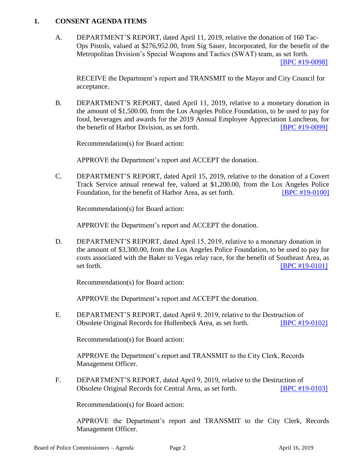#### **1. CONSENT AGENDA ITEMS**

A. DEPARTMENT'S REPORT, dated April 11, 2019, relative the donation of 160 Tac-Ops Pistols, valued at \$276,952.00, from Sig Sauer, Incorporated, for the benefit of the Metropolitan Division's Special Weapons and Tactics (SWAT) team, as set forth.

[\[BPC #19-0098\]](http://www.lapdpolicecom.lacity.org/041619/BPC_19-0098.pdf)

RECEIVE the Department's report and TRANSMIT to the Mayor and City Council for acceptance.

B. DEPARTMENT'S REPORT, dated April 11, 2019, relative to a monetary donation in the amount of \$1,500.00, from the Los Angeles Police Foundation, to be used to pay for food, beverages and awards for the 2019 Annual Employee Appreciation Luncheon, for the benefit of Harbor Division, as set forth. **IBPC #19-0099** 

Recommendation(s) for Board action:

APPROVE the Department's report and ACCEPT the donation.

C. DEPARTMENT'S REPORT, dated April 15, 2019, relative to the donation of a Covert Track Service annual renewal fee, valued at \$1,200.00, from the Los Angeles Police Foundation, for the benefit of Harbor Area, as set forth. **[\[BPC #19-0100\]](http://www.lapdpolicecom.lacity.org/041619/BPC_19-0100.pdf)** 

Recommendation(s) for Board action:

APPROVE the Department's report and ACCEPT the donation.

D. DEPARTMENT'S REPORT, dated April 15, 2019, relative to a monetary donation in the amount of \$3,300.00, from the Los Angeles Police Foundation, to be used to pay for costs associated with the Baker to Vegas relay race, for the benefit of Southeast Area, as set forth. **IBPC #19-01011** 

Recommendation(s) for Board action:

APPROVE the Department's report and ACCEPT the donation.

E. DEPARTMENT'S REPORT, dated April 9, 2019, relative to the Destruction of Obsolete Original Records for Hollenbeck Area, as set forth. [\[BPC #19-0102\]](http://www.lapdpolicecom.lacity.org/041619/BPC_19-0102.pdf)

Recommendation(s) for Board action:

APPROVE the Department's report and TRANSMIT to the City Clerk, Records Management Officer.

F. DEPARTMENT'S REPORT, dated April 9, 2019, relative to the Destruction of Obsolete Original Records for Central Area, as set forth. [\[BPC #19-0103\]](http://www.lapdpolicecom.lacity.org/041619/BPC_19-0103.pdf)

Recommendation(s) for Board action:

APPROVE the Department's report and TRANSMIT to the City Clerk, Records Management Officer.